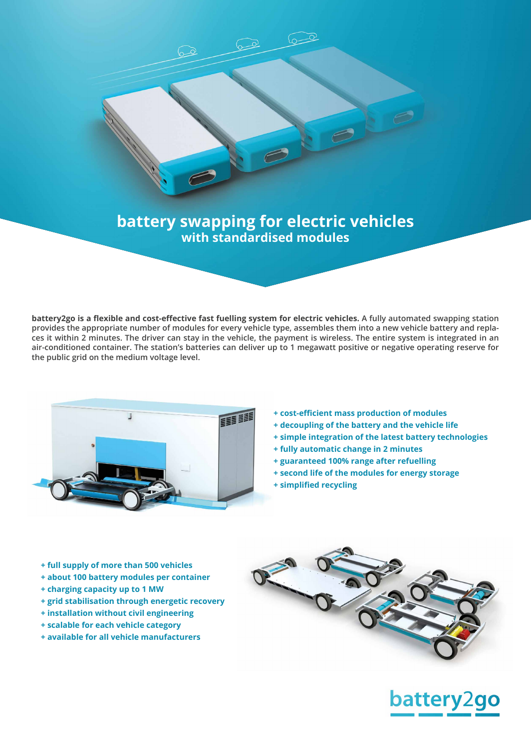

 $\sim$ 

**battery2go is a flexible and cost-effective fast fuelling system for electric vehicles. A fully automated swapping station provides the appropriate number of modules for every vehicle type, assembles them into a new vehicle battery and replaces it within 2 minutes. The driver can stay in the vehicle, the payment is wireless. The entire system is integrated in an air-conditioned container. The station's batteries can deliver up to 1 megawatt positive or negative operating reserve for the public grid on the medium voltage level.**



- **+ cost-efficient mass production of modules**
- **+ decoupling of the battery and the vehicle life**
- **+ simple integration of the latest battery technologies**
- **+ fully automatic change in 2 minutes**
- **+ guaranteed 100% range after refuelling**
- **+ second life of the modules for energy storage**
- **+ simplified recycling**

- **+ full supply of more than 500 vehicles**
- **+ about 100 battery modules per container**
- **+ charging capacity up to 1 MW**
- **+ grid stabilisation through energetic recovery**
- **+ installation without civil engineering**
- **+ scalable for each vehicle category**
- **+ available for all vehicle manufacturers**